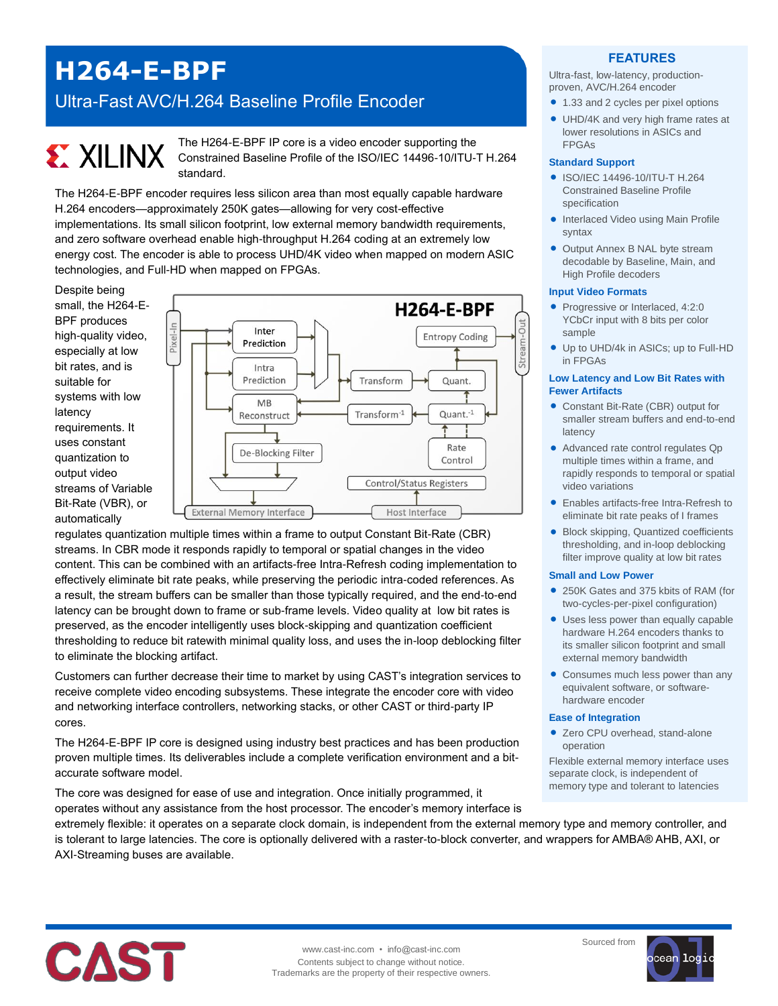# **H264-E-BPF**

# Ultra-Fast AVC/H.264 Baseline Profile Encoder

# **EXILINX**

The H264-E-BPF IP core is a video encoder supporting the Constrained Baseline Profile of the ISO/IEC 14496-10/ITU-T H.264 standard.

The H264-E-BPF encoder requires less silicon area than most equally capable hardware H.264 encoders—approximately 250K gates—allowing for very cost-effective implementations. Its small silicon footprint, low external memory bandwidth requirements, and zero software overhead enable high-throughput H.264 coding at an extremely low energy cost. The encoder is able to process UHD/4K video when mapped on modern ASIC technologies, and Full-HD when mapped on FPGAs.

Despite being small, the H264-E-BPF produces high-quality video, especially at low bit rates, and is suitable for systems with low latency requirements. It uses constant quantization to output video streams of Variable Bit-Rate (VBR), or automatically



regulates quantization multiple times within a frame to output Constant Bit-Rate (CBR) streams. In CBR mode it responds rapidly to temporal or spatial changes in the video content. This can be combined with an artifacts-free Intra-Refresh coding implementation to effectively eliminate bit rate peaks, while preserving the periodic intra-coded references. As a result, the stream buffers can be smaller than those typically required, and the end-to-end latency can be brought down to frame or sub-frame levels. Video quality at low bit rates is preserved, as the encoder intelligently uses block-skipping and quantization coefficient thresholding to reduce bit ratewith minimal quality loss, and uses the in-loop deblocking filter to eliminate the blocking artifact.

Customers can further decrease their time to market by using CAST's integration services to receive complete video encoding subsystems. These integrate the encoder core with video and networking interface controllers, networking stacks, or other CAST or third-party IP cores.

The H264-E-BPF IP core is designed using industry best practices and has been production proven multiple times. Its deliverables include a complete verification environment and a bitaccurate software model.

The core was designed for ease of use and integration. Once initially programmed, it operates without any assistance from the host processor. The encoder's memory interface is

### **FEATURES**

Ultra-fast, low-latency, productionproven, AVC/H.264 encoder

- 1.33 and 2 cycles per pixel options
- UHD/4K and very high frame rates at lower resolutions in ASICs and FPGAs

#### **Standard Support**

- ISO/IEC 14496-10/ITU-T H.264 Constrained Baseline Profile specification
- **Interlaced Video using Main Profile** syntax
- Output Annex B NAL byte stream decodable by Baseline, Main, and High Profile decoders

#### **Input Video Formats**

- Progressive or Interlaced, 4:2:0 YCbCr input with 8 bits per color sample
- Up to UHD/4k in ASICs; up to Full-HD in FPGAs

#### **Low Latency and Low Bit Rates with Fewer Artifacts**

- Constant Bit-Rate (CBR) output for smaller stream buffers and end-to-end latency
- Advanced rate control regulates Qp multiple times within a frame, and rapidly responds to temporal or spatial video variations
- Enables artifacts-free Intra-Refresh to eliminate bit rate peaks of I frames
- Block skipping, Quantized coefficients thresholding, and in-loop deblocking filter improve quality at low bit rates

#### **Small and Low Power**

- 250K Gates and 375 kbits of RAM (for two-cycles-per-pixel configuration)
- Uses less power than equally capable hardware H.264 encoders thanks to its smaller silicon footprint and small external memory bandwidth
- Consumes much less power than any equivalent software, or softwarehardware encoder

#### **Ease of Integration**

● Zero CPU overhead, stand-alone operation

Flexible external memory interface uses separate clock, is independent of memory type and tolerant to latencies

extremely flexible: it operates on a separate clock domain, is independent from the external memory type and memory controller, and is tolerant to large latencies. The core is optionally delivered with a raster-to-block converter, and wrappers for AMBA® AHB, AXI, or AXI-Streaming buses are available.